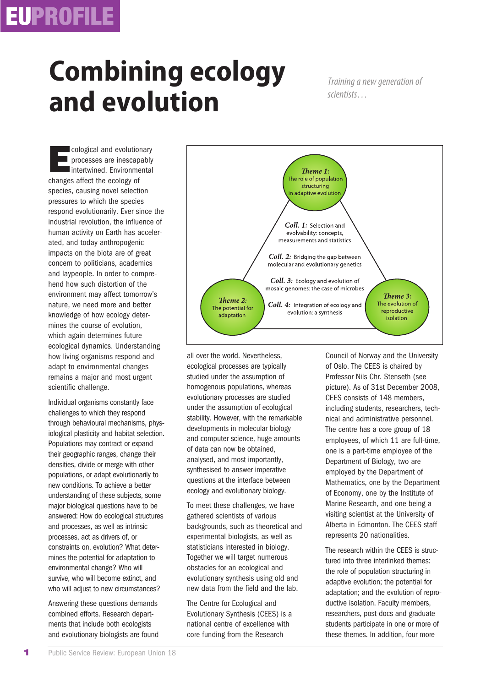## **EUPROFILE**

## **Combining ecology and evolution**

*Training a new generation of*

**E**cological and evolutionary processes are inescapably Intertwined. Environmental changes affect the ecology of species, causing novel selection pressures to which the species respond evolutionarily. Ever since the industrial revolution, the influence of human activity on Earth has accelerated, and today anthropogenic impacts on the biota are of great concern to politicians, academics and laypeople. In order to comprehend how such distortion of the environment may affect tomorrow's nature, we need more and better knowledge of how ecology determines the course of evolution, which again determines future ecological dynamics. Understanding how living organisms respond and adapt to environmental changes remains a major and most urgent scientific challenge.

Individual organisms constantly face challenges to which they respond through behavioural mechanisms, physiological plasticity and habitat selection. Populations may contract or expand their geographic ranges, change their densities, divide or merge with other populations, or adapt evolutionarily to new conditions. To achieve a better understanding of these subjects, some major biological questions have to be answered: How do ecological structures and processes, as well as intrinsic processes, act as drivers of, or constraints on, evolution? What determines the potential for adaptation to environmental change? Who will survive, who will become extinct, and who will adjust to new circumstances?

Answering these questions demands combined efforts. Research departments that include both ecologists and evolutionary biologists are found



all over the world. Nevertheless, ecological processes are typically studied under the assumption of homogenous populations, whereas evolutionary processes are studied under the assumption of ecological stability. However, with the remarkable developments in molecular biology and computer science, huge amounts of data can now be obtained, analysed, and most importantly, synthesised to answer imperative questions at the interface between ecology and evolutionary biology.

To meet these challenges, we have gathered scientists of various backgrounds, such as theoretical and experimental biologists, as well as statisticians interested in biology. Together we will target numerous obstacles for an ecological and evolutionary synthesis using old and new data from the field and the lab.

The Centre for Ecological and Evolutionary Synthesis (CEES) is a national centre of excellence with core funding from the Research

Council of Norway and the University of Oslo. The CEES is chaired by Professor Nils Chr. Stenseth (see picture). As of 31st December 2008, CEES consists of 148 members, including students, researchers, technical and administrative personnel. The centre has a core group of 18 employees, of which 11 are full-time, one is a part-time employee of the Department of Biology, two are employed by the Department of Mathematics, one by the Department of Economy, one by the Institute of Marine Research, and one being a visiting scientist at the University of Alberta in Edmonton. The CEES staff represents 20 nationalities.

The research within the CEES is structured into three interlinked themes: the role of population structuring in adaptive evolution; the potential for adaptation; and the evolution of reproductive isolation. Faculty members, researchers, post-docs and graduate students participate in one or more of these themes. In addition, four more